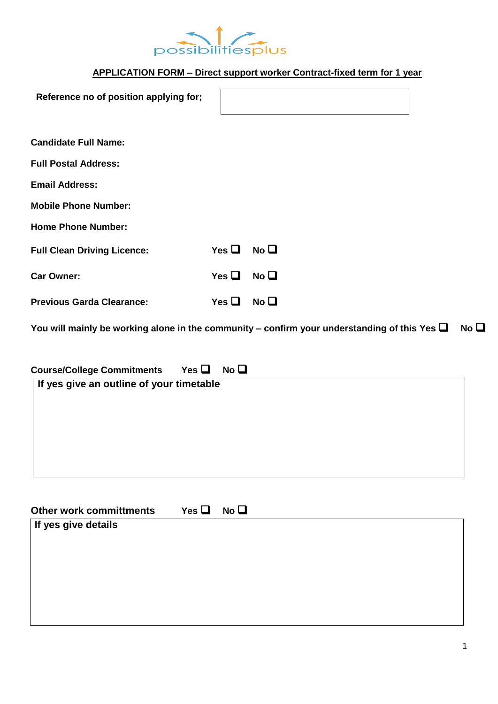

# **APPLICATION FORM – Direct support worker Contract-fixed term for 1 year**

| Reference no of position applying for;                                                            |                 |                 |              |
|---------------------------------------------------------------------------------------------------|-----------------|-----------------|--------------|
| <b>Candidate Full Name:</b>                                                                       |                 |                 |              |
| <b>Full Postal Address:</b>                                                                       |                 |                 |              |
| <b>Email Address:</b>                                                                             |                 |                 |              |
| <b>Mobile Phone Number:</b>                                                                       |                 |                 |              |
| <b>Home Phone Number:</b>                                                                         |                 |                 |              |
| <b>Full Clean Driving Licence:</b>                                                                | Yes $\Box$      | No <sub>1</sub> |              |
| <b>Car Owner:</b>                                                                                 | Yes $\square$   | No <sub>Q</sub> |              |
| <b>Previous Garda Clearance:</b>                                                                  | Yes $\Box$      | No <sub>1</sub> |              |
| You will mainly be working alone in the community – confirm your understanding of this Yes $\Box$ |                 |                 | No $\square$ |
| Yes $\Box$<br><b>Course/College Commitments</b><br>If yes give an outline of your timetable       | No <sub>Q</sub> |                 |              |
| Yes $\Box$<br><b>Other work committments</b><br>If yes give details                               | No <sub>Q</sub> |                 |              |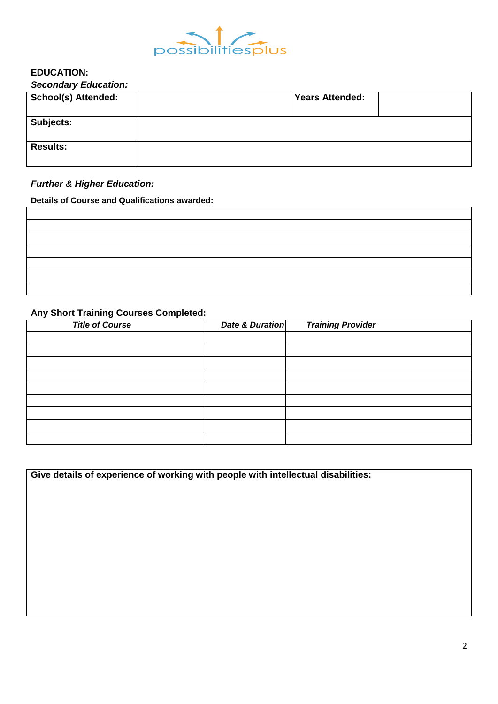

#### **EDUCATION:** *Secondary Education:*

| <b>UCCUTUAL Y LUUCAUUII.</b> |                        |  |
|------------------------------|------------------------|--|
| <b>School(s) Attended:</b>   | <b>Years Attended:</b> |  |
| Subjects:                    |                        |  |
| <b>Results:</b>              |                        |  |

## *Further & Higher Education:*

**Details of Course and Qualifications awarded:**

## **Any Short Training Courses Completed:**

| <b>Title of Course</b> | <b>Date &amp; Duration</b> | <b>Training Provider</b> |
|------------------------|----------------------------|--------------------------|
|                        |                            |                          |
|                        |                            |                          |
|                        |                            |                          |
|                        |                            |                          |
|                        |                            |                          |
|                        |                            |                          |
|                        |                            |                          |
|                        |                            |                          |
|                        |                            |                          |

**Give details of experience of working with people with intellectual disabilities:**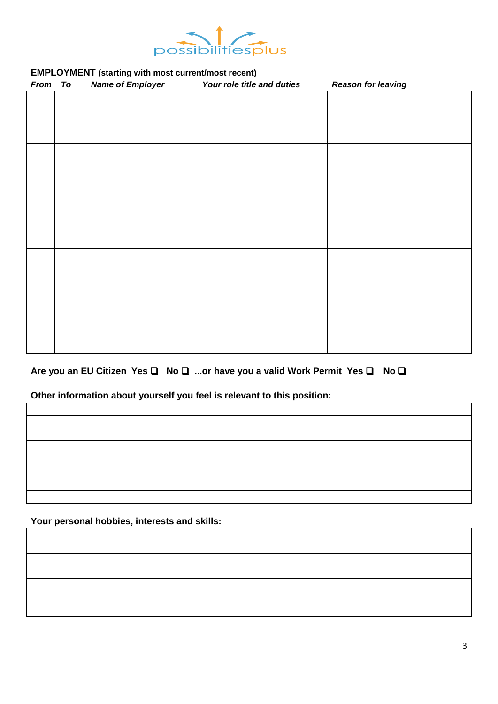

### **EMPLOYMENT (starting with most current/most recent)**

| From To | <b>Name of Employer</b> | Your role title and duties | <b>Reason for leaving</b> |
|---------|-------------------------|----------------------------|---------------------------|
|         |                         |                            |                           |
|         |                         |                            |                           |
|         |                         |                            |                           |
|         |                         |                            |                           |
|         |                         |                            |                           |
|         |                         |                            |                           |
|         |                         |                            |                           |
|         |                         |                            |                           |
|         |                         |                            |                           |
|         |                         |                            |                           |
|         |                         |                            |                           |
|         |                         |                            |                           |
|         |                         |                            |                           |
|         |                         |                            |                           |
|         |                         |                            |                           |
|         |                         |                            |                           |
|         |                         |                            |                           |
|         |                         |                            |                           |
|         |                         |                            |                           |

#### Are you an EU Citizen Yes **□** No □ ...or have you a valid Work Permit Yes □ No □

### **Other information about yourself you feel is relevant to this position:**

**Your personal hobbies, interests and skills:**